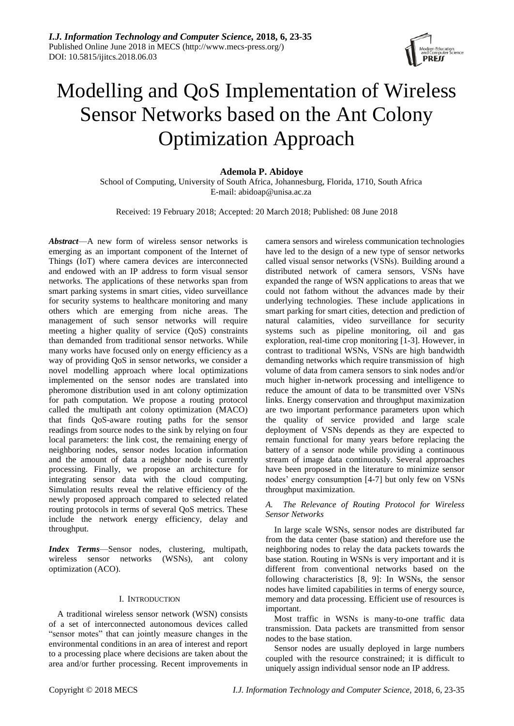

# Modelling and QoS Implementation of Wireless Sensor Networks based on the Ant Colony Optimization Approach

# **Ademola P. Abidoye**

School of Computing, University of South Africa, Johannesburg, Florida, 1710, South Africa E-mail: abidoap@unisa.ac.za

Received: 19 February 2018; Accepted: 20 March 2018; Published: 08 June 2018

*Abstract*—A new form of wireless sensor networks is emerging as an important component of the Internet of Things (IoT) where camera devices are interconnected and endowed with an IP address to form visual sensor networks. The applications of these networks span from smart parking systems in smart cities, video surveillance for security systems to healthcare monitoring and many others which are emerging from niche areas. The management of such sensor networks will require meeting a higher quality of service (QoS) constraints than demanded from traditional sensor networks. While many works have focused only on energy efficiency as a way of providing QoS in sensor networks, we consider a novel modelling approach where local optimizations implemented on the sensor nodes are translated into pheromone distribution used in ant colony optimization for path computation. We propose a routing protocol called the multipath ant colony optimization (MACO) that finds QoS-aware routing paths for the sensor readings from source nodes to the sink by relying on four local parameters: the link cost, the remaining energy of neighboring nodes, sensor nodes location information and the amount of data a neighbor node is currently processing. Finally, we propose an architecture for integrating sensor data with the cloud computing. Simulation results reveal the relative efficiency of the newly proposed approach compared to selected related routing protocols in terms of several QoS metrics. These include the network energy efficiency, delay and throughput.

*Index Terms*—Sensor nodes, clustering, multipath, wireless sensor networks (WSNs), ant colony optimization (ACO).

# I. INTRODUCTION

A traditional wireless sensor network (WSN) consists of a set of interconnected autonomous devices called "sensor motes" that can jointly measure changes in the environmental conditions in an area of interest and report to a processing place where decisions are taken about the area and/or further processing. Recent improvements in camera sensors and wireless communication technologies have led to the design of a new type of sensor networks called visual sensor networks (VSNs). Building around a distributed network of camera sensors, VSNs have expanded the range of WSN applications to areas that we could not fathom without the advances made by their underlying technologies. These include applications in smart parking for smart cities, detection and prediction of natural calamities, video surveillance for security systems such as pipeline monitoring, oil and gas exploration, real-time crop monitoring [\[1-3\]](#page-11-0). However, in contrast to traditional WSNs, VSNs are high bandwidth demanding networks which require transmission of high volume of data from camera sensors to sink nodes and/or much higher in-network processing and intelligence to reduce the amount of data to be transmitted over VSNs links. Energy conservation and throughput maximization are two important performance parameters upon which the quality of service provided and large scale deployment of VSNs depends as they are expected to remain functional for many years before replacing the battery of a sensor node while providing a continuous stream of image data continuously. Several approaches have been proposed in the literature to minimize sensor nodes' energy consumption [\[4-7\]](#page-11-1) but only few on VSNs throughput maximization.

# *A. The Relevance of Routing Protocol for Wireless Sensor Networks*

In large scale WSNs, sensor nodes are distributed far from the data center (base station) and therefore use the neighboring nodes to relay the data packets towards the base station. Routing in WSNs is very important and it is different from conventional networks based on the following characteristics [\[8,](#page-11-2) [9\]](#page-11-3): In WSNs, the sensor nodes have limited capabilities in terms of energy source, memory and data processing. Efficient use of resources is important.

Most traffic in WSNs is many-to-one traffic data transmission. Data packets are transmitted from sensor nodes to the base station.

Sensor nodes are usually deployed in large numbers coupled with the resource constrained; it is difficult to uniquely assign individual sensor node an IP address.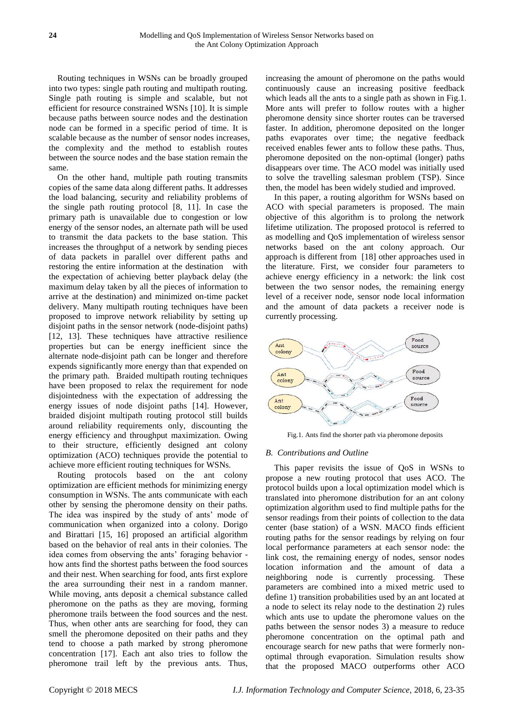Routing techniques in WSNs can be broadly grouped into two types: single path routing and multipath routing. Single path routing is simple and scalable, but not efficient for resource constrained WSNs [\[10\]](#page-11-4). It is simple because paths between source nodes and the destination node can be formed in a specific period of time. It is scalable because as the number of sensor nodes increases, the complexity and the method to establish routes between the source nodes and the base station remain the same.

On the other hand, multiple path routing transmits copies of the same data along different paths. It addresses the load balancing, security and reliability problems of the single path routing protocol [\[8,](#page-11-2) [11\]](#page-11-5). In case the primary path is unavailable due to congestion or low energy of the sensor nodes, an alternate path will be used to transmit the data packets to the base station. This increases the throughput of a network by sending pieces of data packets in parallel over different paths and restoring the entire information at the destination with the expectation of achieving better playback delay (the maximum delay taken by all the pieces of information to arrive at the destination) and minimized on-time packet delivery. Many multipath routing techniques have been proposed to improve network reliability by setting up disjoint paths in the sensor network (node-disjoint paths) [\[12,](#page-11-6) [13\]](#page-11-7). These techniques have attractive resilience properties but can be energy inefficient since the alternate node-disjoint path can be longer and therefore expends significantly more energy than that expended on the primary path. Braided multipath routing techniques have been proposed to relax the requirement for node disjointedness with the expectation of addressing the energy issues of node disjoint paths [\[14\]](#page-11-8). However, braided disjoint multipath routing protocol still builds around reliability requirements only, discounting the energy efficiency and throughput maximization. Owing to their structure, efficiently designed ant colony optimization (ACO) techniques provide the potential to achieve more efficient routing techniques for WSNs.

Routing protocols based on the ant colony optimization are efficient methods for minimizing energy consumption in WSNs. The ants communicate with each other by sensing the pheromone density on their paths. The idea was inspired by the study of ants' mode of communication when organized into a colony. Dorigo and Birattari [\[15,](#page-11-9) [16\]](#page-11-10) proposed an artificial algorithm based on the behavior of real ants in their colonies. The idea comes from observing the ants' foraging behavior how ants find the shortest paths between the food sources and their nest. When searching for food, ants first explore the area surrounding their nest in a random manner. While moving, ants deposit a chemical substance called pheromone on the paths as they are moving, forming pheromone trails between the food sources and the nest. Thus, when other ants are searching for food, they can smell the pheromone deposited on their paths and they tend to choose a path marked by strong pheromone concentration [\[17\]](#page-11-11). Each ant also tries to follow the pheromone trail left by the previous ants. Thus,

increasing the amount of pheromone on the paths would continuously cause an increasing positive feedback which leads all the ants to a single path as shown in Fig.1. More ants will prefer to follow routes with a higher pheromone density since shorter routes can be traversed faster. In addition, pheromone deposited on the longer paths evaporates over time; the negative feedback received enables fewer ants to follow these paths. Thus, pheromone deposited on the non-optimal (longer) paths disappears over time. The ACO model was initially used to solve the travelling salesman problem (TSP). Since then, the model has been widely studied and improved.

In this paper, a routing algorithm for WSNs based on ACO with special parameters is proposed. The main objective of this algorithm is to prolong the network lifetime utilization. The proposed protocol is referred to as modelling and QoS implementation of wireless sensor networks based on the ant colony approach. Our approach is different from [\[18\]](#page-11-12) other approaches used in the literature. First, we consider four parameters to achieve energy efficiency in a network: the link cost between the two sensor nodes, the remaining energy level of a receiver node, sensor node local information and the amount of data packets a receiver node is currently processing.



Fig.1. Ants find the shorter path via pheromone deposits

#### *B. Contributions and Outline*

This paper revisits the issue of QoS in WSNs to propose a new routing protocol that uses ACO. The protocol builds upon a local optimization model which is translated into pheromone distribution for an ant colony optimization algorithm used to find multiple paths for the sensor readings from their points of collection to the data center (base station) of a WSN. MACO finds efficient routing paths for the sensor readings by relying on four local performance parameters at each sensor node: the link cost, the remaining energy of nodes, sensor nodes location information and the amount of data a neighboring node is currently processing. These parameters are combined into a mixed metric used to define 1) transition probabilities used by an ant located at a node to select its relay node to the destination 2) rules which ants use to update the pheromone values on the paths between the sensor nodes 3) a measure to reduce pheromone concentration on the optimal path and encourage search for new paths that were formerly nonoptimal through evaporation. Simulation results show that the proposed MACO outperforms other ACO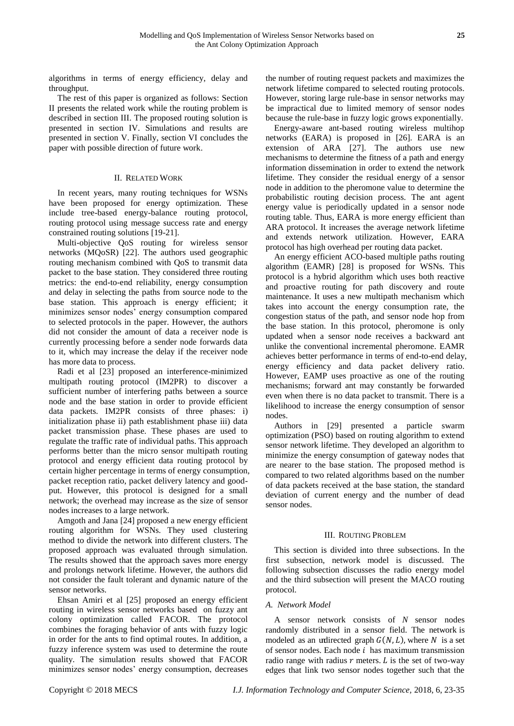algorithms in terms of energy efficiency, delay and throughput.

The rest of this paper is organized as follows: Section II presents the related work while the routing problem is described in section III. The proposed routing solution is presented in section IV. Simulations and results are presented in section V. Finally, section VI concludes the paper with possible direction of future work.

# II. RELATED WORK

In recent years, many routing techniques for WSNs have been proposed for energy optimization. These include tree-based energy-balance routing protocol, routing protocol using message success rate and energy constrained routing solutions [\[19-21\]](#page-11-13).

Multi-objective QoS routing for wireless sensor networks (MQoSR) [\[22\]](#page-11-14). The authors used geographic routing mechanism combined with QoS to transmit data packet to the base station. They considered three routing metrics: the end-to-end reliability, energy consumption and delay in selecting the paths from source node to the base station. This approach is energy efficient; it minimizes sensor nodes' energy consumption compared to selected protocols in the paper. However, the authors did not consider the amount of data a receiver node is currently processing before a sender node forwards data to it, which may increase the delay if the receiver node has more data to process.

Radi et al [\[23\]](#page-11-15) proposed an interference-minimized multipath routing protocol (IM2PR) to discover a sufficient number of interfering paths between a source node and the base station in order to provide efficient data packets. IM2PR consists of three phases: i) initialization phase ii) path establishment phase iii) data packet transmission phase. These phases are used to regulate the traffic rate of individual paths. This approach performs better than the micro sensor multipath routing protocol and energy efficient data routing protocol by certain higher percentage in terms of energy consumption, packet reception ratio, packet delivery latency and goodput. However, this protocol is designed for a small network; the overhead may increase as the size of sensor nodes increases to a large network.

Amgoth and Jana [\[24\]](#page-11-16) proposed a new energy efficient routing algorithm for WSNs. They used clustering method to divide the network into different clusters. The proposed approach was evaluated through simulation. The results showed that the approach saves more energy and prolongs network lifetime. However, the authors did not consider the fault tolerant and dynamic nature of the sensor networks.

Ehsan Amiri et al [\[25\]](#page-11-17) proposed an energy efficient routing in wireless sensor networks based on fuzzy ant colony optimization called FACOR. The protocol combines the foraging behavior of ants with fuzzy logic in order for the ants to find optimal routes. In addition, a fuzzy inference system was used to determine the route quality. The simulation results showed that FACOR minimizes sensor nodes' energy consumption, decreases

the number of routing request packets and maximizes the network lifetime compared to selected routing protocols. However, storing large rule-base in sensor networks may be impractical due to limited memory of sensor nodes because the rule-base in fuzzy logic grows exponentially.

Energy-aware ant-based routing wireless multihop networks (EARA) is proposed in [\[26\]](#page-11-18). EARA is an extension of ARA [\[27\]](#page-11-19). The authors use new mechanisms to determine the fitness of a path and energy information dissemination in order to extend the network lifetime. They consider the residual energy of a sensor node in addition to the pheromone value to determine the probabilistic routing decision process. The ant agent energy value is periodically updated in a sensor node routing table. Thus, EARA is more energy efficient than ARA protocol. It increases the average network lifetime and extends network utilization. However, EARA protocol has high overhead per routing data packet.

An energy efficient ACO-based multiple paths routing algorithm (EAMR) [\[28\]](#page-11-20) is proposed for WSNs. This protocol is a hybrid algorithm which uses both reactive and proactive routing for path discovery and route maintenance. It uses a new multipath mechanism which takes into account the energy consumption rate, the congestion status of the path, and sensor node hop from the base station. In this protocol, pheromone is only updated when a sensor node receives a backward ant unlike the conventional incremental pheromone. EAMR achieves better performance in terms of end-to-end delay, energy efficiency and data packet delivery ratio. However, EAMP uses proactive as one of the routing mechanisms; forward ant may constantly be forwarded even when there is no data packet to transmit. There is a likelihood to increase the energy consumption of sensor nodes.

Authors in [\[29\]](#page-11-21) presented a particle swarm optimization (PSO) based on routing algorithm to extend sensor network lifetime. They developed an algorithm to minimize the energy consumption of gateway nodes that are nearer to the base station. The proposed method is compared to two related algorithms based on the number of data packets received at the base station, the standard deviation of current energy and the number of dead sensor nodes.

# III. ROUTING PROBLEM

This section is divided into three subsections. In the first subsection, network model is discussed. The following subsection discusses the radio energy model and the third subsection will present the MACO routing protocol.

# *A. Network Model*

A sensor network consists of *N* sensor nodes randomly distributed in a sensor field. The network is modeled as an undirected graph  $G(N, L)$ , where N is a set of sensor nodes. Each node  $i$  has maximum transmission radio range with radius  $r$  meters.  $L$  is the set of two-way edges that link two sensor nodes together such that the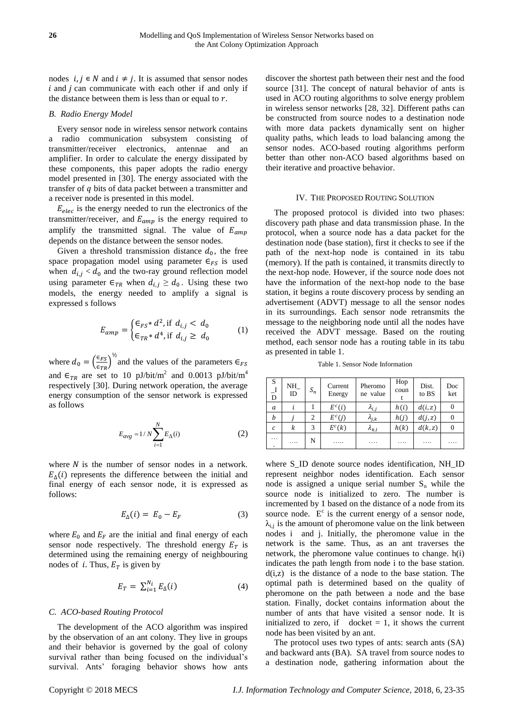nodes  $i, j \in N$  and  $i \neq j$ . It is assumed that sensor nodes  $i$  and  $j$  can communicate with each other if and only if the distance between them is less than or equal to  $r$ .

# *B. Radio Energy Model*

Every sensor node in wireless sensor network contains a radio communication subsystem consisting of transmitter/receiver electronics, antennae and an amplifier. In order to calculate the energy dissipated by these components, this paper adopts the radio energy model presented in [\[30\]](#page-12-0). The energy associated with the transfer of q bits of data packet between a transmitter and a receiver node is presented in this model.

 $E_{elec}$  is the energy needed to run the electronics of the transmitter/receiver, and  $E_{amp}$  is the energy required to amplify the transmitted signal. The value of  $E_{amp}$ depends on the distance between the sensor nodes.

Given a threshold transmission distance  $d_0$ , the free space propagation model using parameter  $\epsilon_{FS}$  is used when  $d_{i,j} < d_0$  and the two-ray ground reflection model using parameter  $\epsilon_{TR}$  when  $d_{i,j} \geq d_0$ . Using these two models, the energy needed to amplify a signal is expressed s follows

$$
E_{amp} = \begin{cases} \in_{FS} * d^2, & \text{if } d_{i,j} < d_0 \\ \in_{TR} * d^4, & \text{if } d_{i,j} \ge d_0 \end{cases} \tag{1}
$$

where  $d_0 = \left(\frac{\epsilon_{FS}}{\epsilon_{FS}}\right)$  $\frac{\epsilon_{FS}}{\epsilon_{TR}}\Big)^{\frac{1}{2}}$  and the values of the parameters  $\epsilon_{FS}$ and  $\epsilon_{TR}$  are set to 10 pJ/bit/m<sup>2</sup> and 0.0013 pJ/bit/m<sup>4</sup> respectively [\[30\]](#page-12-0). During network operation, the average energy consumption of the sensor network is expressed as follows

$$
E_{avg} = 1/N \sum_{i=1}^{N} E_{\Delta}(i)
$$
 (2)

where  $N$  is the number of sensor nodes in a network.  $E_{\Delta}(i)$  represents the difference between the initial and final energy of each sensor node, it is expressed as follows:

$$
E_{\Delta}(i) = E_0 - E_F \tag{3}
$$

where  $E_0$  and  $E_F$  are the initial and final energy of each sensor node respectively. The threshold energy  $E_T$  is determined using the remaining energy of neighbouring nodes of *i*. Thus,  $E_T$  is given by

$$
E_T = \sum_{i=1}^{N_i} E_{\Delta}(i) \tag{4}
$$

# *C. ACO-based Routing Protocol*

The development of the ACO algorithm was inspired by the observation of an ant colony. They live in groups and their behavior is governed by the goal of colony survival rather than being focused on the individual's survival. Ants' foraging behavior shows how ants discover the shortest path between their nest and the food source [\[31\]](#page-12-1). The concept of natural behavior of ants is used in ACO routing algorithms to solve energy problem in wireless sensor networks [\[28,](#page-11-20) [32\]](#page-12-2). Different paths can be constructed from source nodes to a destination node with more data packets dynamically sent on higher quality paths, which leads to load balancing among the sensor nodes. ACO-based routing algorithms perform better than other non-ACO based algorithms based on their iterative and proactive behavior.

#### IV. THE PROPOSED ROUTING SOLUTION

The proposed protocol is divided into two phases: discovery path phase and data transmission phase. In the protocol, when a source node has a data packet for the destination node (base station), first it checks to see if the path of the next-hop node is contained in its tabu (memory). If the path is contained, it transmits directly to the next-hop node. However, if the source node does not have the information of the next-hop node to the base station, it begins a route discovery process by sending an advertisement (ADVT) message to all the sensor nodes in its surroundings. Each sensor node retransmits the message to the neighboring node until all the nodes have received the ADVT message. Based on the routing method, each sensor node has a routing table in its tabu as presented in table 1.

Table 1. Sensor Node Information

| S<br>$\frac{\text{I}}{\text{D}}$ | NH_<br>ID | $S_n$ | Current<br>Energy | Pheromo<br>ne value | Hop<br>coun | Dist.<br>to BS | Doc<br>ket |
|----------------------------------|-----------|-------|-------------------|---------------------|-------------|----------------|------------|
| a                                |           |       | $E^c(i)$          | $\lambda_{i,j}$     | h(i)        | d(i, z)        |            |
| b                                |           | 2     | $E^c(j)$          | $\lambda_{j,k}$     | h(j)        | d(j, z)        |            |
| с                                | k         | 3     | $E^c(k)$          | $\lambda_{k,l}$     | h(k)        | d(k, z)        |            |
| .<br>$\bullet$                   | .         | N     | .                 | .                   | .           | .              |            |

where S\_ID denote source nodes identification, NH\_ID represent neighbor nodes identification. Each sensor node is assigned a unique serial number  $S_n$  while the source node is initialized to zero. The number is incremented by 1 based on the distance of a node from its source node.  $E^c$  is the current energy of a sensor node,  $\lambda_{i,j}$  is the amount of pheromone value on the link between nodes i and j. Initially, the pheromone value in the network is the same. Thus, as an ant traverses the network, the pheromone value continues to change. h(i) indicates the path length from node i to the base station.  $d(i,z)$  is the distance of a node to the base station. The optimal path is determined based on the quality of pheromone on the path between a node and the base station. Finally, docket contains information about the number of ants that have visited a sensor node. It is initialized to zero, if docket  $= 1$ , it shows the current node has been visited by an ant.

The protocol uses two types of ants: search ants (SA) and backward ants (BA). SA travel from source nodes to a destination node, gathering information about the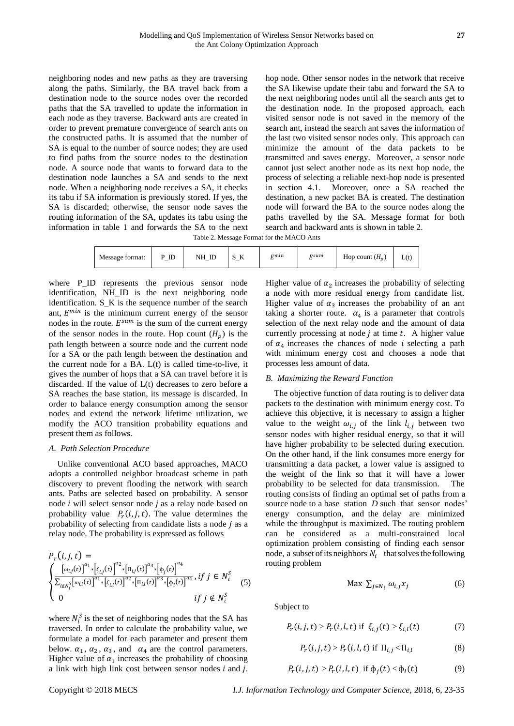neighboring nodes and new paths as they are traversing along the paths. Similarly, the BA travel back from a destination node to the source nodes over the recorded paths that the SA travelled to update the information in each node as they traverse. Backward ants are created in order to prevent premature convergence of search ants on the constructed paths. It is assumed that the number of SA is equal to the number of source nodes; they are used to find paths from the source nodes to the destination node. A source node that wants to forward data to the destination node launches a SA and sends to the next node. When a neighboring node receives a SA, it checks its tabu if SA information is previously stored. If yes, the SA is discarded; otherwise, the sensor node saves the routing information of the SA, updates its tabu using the information in table 1 and forwards the SA to the next hop node. Other sensor nodes in the network that receive the SA likewise update their tabu and forward the SA to the next neighboring nodes until all the search ants get to the destination node. In the proposed approach, each visited sensor node is not saved in the memory of the search ant, instead the search ant saves the information of the last two visited sensor nodes only. This approach can minimize the amount of the data packets to be transmitted and saves energy. Moreover, a sensor node cannot just select another node as its next hop node, the process of selecting a reliable next-hop node is presented in section 4.1. Moreover, once a SA reached the destination, a new packet BA is created. The destination node will forward the BA to the source nodes along the paths travelled by the SA. Message format for both search and backward ants is shown in table 2.

Table 2. Message Format for the MACO Ants

| <b>T</b><br>$\mathbb{I}$<br>$_{\text{ID}}$<br>NΗ<br>ີ<br>Message format:<br>A<br>ື<br>-<br>- -<br>$\overline{\phantom{a}}$ | rsum<br>rmin | Hop count $(H_p)$<br>L(t) |
|----------------------------------------------------------------------------------------------------------------------------|--------------|---------------------------|
|----------------------------------------------------------------------------------------------------------------------------|--------------|---------------------------|

where P\_ID represents the previous sensor node identification, NH\_ID is the next neighboring node identification. S\_K is the sequence number of the search ant,  $E^{min}$  is the minimum current energy of the sensor nodes in the route.  $E^{sum}$  is the sum of the current energy of the sensor nodes in the route. Hop count  $(H_n)$  is the path length between a source node and the current node for a SA or the path length between the destination and the current node for a BA.  $L(t)$  is called time-to-live, it gives the number of hops that a SA can travel before it is discarded. If the value of L(t) decreases to zero before a SA reaches the base station, its message is discarded. In order to balance energy consumption among the sensor nodes and extend the network lifetime utilization, we modify the ACO transition probability equations and present them as follows.

## *A. Path Selection Procedure*

Unlike conventional ACO based approaches, MACO adopts a controlled neighbor broadcast scheme in path discovery to prevent flooding the network with search ants. Paths are selected based on probability. A sensor node  $i$  will select sensor node  $j$  as a relay node based on probability value  $P_r(i,j,t)$ . The value determines the probability of selecting from candidate lists a node  *as a* relay node. The probability is expressed as follows

$$
P_r(i,j,t) = \begin{cases} \n\frac{\left[\omega_{i,j}(t)\right]^{\alpha_1} \cdot \left[\xi_{i,j}(t)\right]^{\alpha_2} \cdot \left[\Pi_{i,j}(t)\right]^{\alpha_3} \cdot \left[\phi_j(t)\right]^{\alpha_4}}{\sum_{l \notin N_i^S} \left[\omega_{i,l}(t)\right]^{\alpha_1} \cdot \left[\xi_{i,l}(t)\right]^{\alpha_2} \cdot \left[\Pi_{i,l}(t)\right]^{\alpha_3} \cdot \left[\phi_l(t)\right]^{\alpha_4}}, & \text{if } j \in N_i^S \\
0 & \text{if } j \notin N_i^S \n\end{cases} \tag{5}
$$

where  $N_i^S$  is the set of neighboring nodes that the SA has traversed. In order to calculate the probability value, we formulate a model for each parameter and present them below.  $\alpha_1$ ,  $\alpha_2$ ,  $\alpha_3$ , and  $\alpha_4$  are the control parameters. Higher value of  $\alpha_1$  increases the probability of choosing a link with high link cost between sensor nodes  $i$  and  $j$ .

Higher value of  $\alpha_2$  increases the probability of selecting a node with more residual energy from candidate list. Higher value of  $\alpha_3$  increases the probability of an ant taking a shorter route.  $\alpha_4$  is a parameter that controls selection of the next relay node and the amount of data currently processing at node  $j$  at time  $t$ . A higher value of  $\alpha_4$  increases the chances of node *i* selecting a path with minimum energy cost and chooses a node that processes less amount of data.

## *B. Maximizing the Reward Function*

The objective function of data routing is to deliver data packets to the destination with minimum energy cost. To achieve this objective, it is necessary to assign a higher value to the weight  $\omega_{i,j}$  of the link  $l_{i,j}$  between two sensor nodes with higher residual energy, so that it will have higher probability to be selected during execution. On the other hand, if the link consumes more energy for transmitting a data packet, a lower value is assigned to the weight of the link so that it will have a lower probability to be selected for data transmission. The routing consists of finding an optimal set of paths from a source node to a base station *D* such that sensor nodes' energy consumption, and the delay are minimized while the throughput is maximized. The routing problem can be considered as a multi-constrained local optimization problem consisting of finding each sensor node, a subset of its neighbors  $N_i$  that solves the following routing problem

$$
\text{Max } \sum_{j \in N_i} \omega_{i,j} x_j \tag{6}
$$

Subject to

$$
P_r(i, j, t) > P_r(i, l, t) \text{ if } \xi_{i,j}(t) > \xi_{i,l}(t) \tag{7}
$$

$$
P_r(i, j, t) > P_r(i, l, t) \text{ if } \Pi_{i,j} < \Pi_{i,l} \tag{8}
$$

$$
P_r(i,j,t) > P_r(i,l,t) \quad \text{if } \phi_j(t) < \phi_l(t) \tag{9}
$$

Copyright © 2018 MECS *I.J. Information Technology and Computer Science,* 2018, 6, 23-35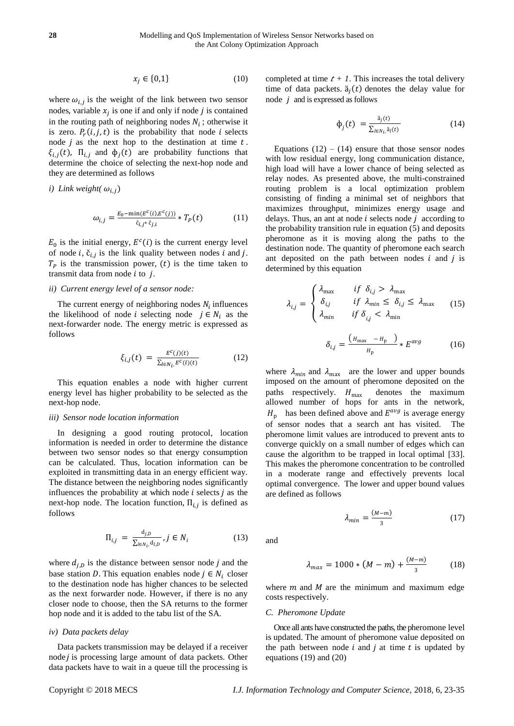$$
x_j \in \{0, 1\} \tag{10}
$$

where  $\omega_{i,j}$  is the weight of the link between two sensor nodes, variable  $x_j$  is one if and only if node j is contained in the routing path of neighboring nodes  $N_i$ ; otherwise it is zero.  $P_r(i,j,t)$  is the probability that node *i* selects node  $\dot{\jmath}$  as the next hop to the destination at time  $t$ .  $\xi_{i,j}(t)$ ,  $\Pi_{i,j}$  and  $\phi_j(t)$  are probability functions that determine the choice of selecting the next-hop node and they are determined as follows

*i)* Link weight(
$$
\omega_{i,j}
$$
)

$$
\omega_{i,j} = \frac{E_0 - \min(E^c(i), E^c(j))}{\tilde{c}_{i,j^*}\tilde{c}_{j,i}} * T_P(t) \tag{11}
$$

 $E_0$  is the initial energy,  $E^c(i)$  is the current energy level of node *i*,  $\check{c}_{i,j}$  is the link quality between nodes *i* and *j*.  $T_P$  is the transmission power, (t) is the time taken to transmit data from node  $i$  to  $j$ .

# *ii) Current energy level of a sensor node:*

The current energy of neighboring nodes  $N_i$  influences the likelihood of node *i* selecting node  $j \in N_i$  as the next-forwarder node. The energy metric is expressed as follows

$$
\xi_{i,j}(t) = \frac{E^c(j)(t)}{\sum_{l \in N_i} E^c(l)(t)}
$$
(12)

This equation enables a node with higher current energy level has higher probability to be selected as the next-hop node.

#### *iii) Sensor node location information*

In designing a good routing protocol*,* location information is needed in order to determine the distance between two sensor nodes so that energy consumption can be calculated. Thus, location information can be exploited in transmitting data in an energy efficient way. The distance between the neighboring nodes significantly influences the probability at which node  $i$  selects  $j$  as the next-hop node. The location function,  $\Pi_{i,j}$  is defined as follows

$$
\Pi_{i,j} = \frac{\mathbf{d}_{j,D}}{\sum_{l \in N_i, \mathbf{d}_{l,D}}}, j \in N_i \tag{13}
$$

where  $d_{i, p}$  is the distance between sensor node *j* and the base station D. This equation enables node  $j \in N_i$  closer to the destination node has higher chances to be selected as the next forwarder node. However, if there is no any closer node to choose, then the SA returns to the former hop node and it is added to the tabu list of the SA.

## *iv) Data packets delay*

Data packets transmission may be delayed if a receiver node  $i$  is processing large amount of data packets. Other data packets have to wait in a queue till the processing is completed at time  $t + 1$ . This increases the total delivery time of data packets.  $\ddot{a}_j(t)$  denotes the delay value for node  $j$  and is expressed as follows

$$
\Phi_j(t) = \frac{\check{\mathbf{a}}_j(t)}{\sum_{l \in N_{\hat{t}}, \check{\mathbf{a}}_l(t)}}\tag{14}
$$

Equations  $(12) - (14)$  ensure that those sensor nodes with low residual energy, long communication distance, high load will have a lower chance of being selected as relay nodes. As presented above, the multi-constrained routing problem is a local optimization problem consisting of finding a minimal set of neighbors that maximizes throughput, minimizes energy usage and delays. Thus, an ant at node  $i$  selects node  $j$  according to the probability transition rule in equation (5) and deposits pheromone as it is moving along the paths to the destination node. The quantity of pheromone each search ant deposited on the path between nodes  $i$  and  $j$  is determined by this equation

$$
\lambda_{i,j} = \begin{cases}\n\lambda_{\max} & \text{if } \delta_{i,j} > \lambda_{\max} \\
\delta_{i,j} & \text{if } \lambda_{\min} \le \delta_{i,j} \le \lambda_{\max} \\
\lambda_{\min} & \text{if } \delta_{i,j} < \lambda_{\min}\n\end{cases} \tag{15}
$$
\n
$$
\delta_{i,j} = \frac{\left(H_{\max} - H_p\right)}{H_p} * E^{\text{avg}} \tag{16}
$$

where  $\lambda_{min}$  and  $\lambda_{max}$  are the lower and upper bounds imposed on the amount of pheromone deposited on the paths respectively.  $H_{\text{max}}$  denotes the maximum allowed number of hops for ants in the network,  $H<sub>p</sub>$  has been defined above and  $E<sup>avg</sup>$  is average energy of sensor nodes that a search ant has visited. The pheromone limit values are introduced to prevent ants to converge quickly on a small number of edges which can cause the algorithm to be trapped in local optimal [\[33\]](#page-12-3). This makes the pheromone concentration to be controlled in a moderate range and effectively prevents local optimal convergence. The lower and upper bound values are defined as follows

$$
\lambda_{min} = \frac{(M-m)}{3} \tag{17}
$$

and

$$
\lambda_{max} = 1000 * (M - m) + \frac{(M - m)}{3} \tag{18}
$$

where  $m$  and  $M$  are the minimum and maximum edge costs respectively.

#### *C. Pheromone Update*

Once all ants have constructed the paths, the pheromone level is updated. The amount of pheromone value deposited on the path between node  $i$  and  $j$  at time  $t$  is updated by equations (19) and (20)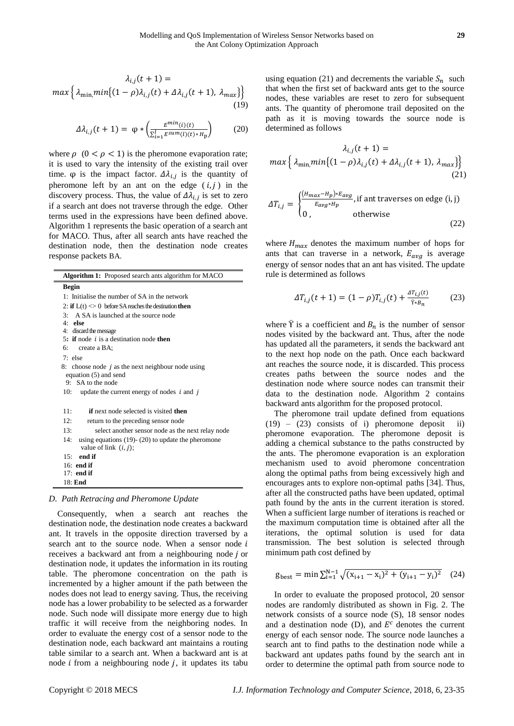$$
\lambda_{i,j}(t+1) =
$$
  

$$
max\left\{\lambda_{\min, min}\left\{(1-\rho)\lambda_{i,j}(t) + \Delta\lambda_{i,j}(t+1), \lambda_{max}\right\}\right\}
$$
(19)

$$
\Delta \lambda_{i,j}(t+1) = \varphi * \left( \frac{E^{\min}(i)(t)}{\sum_{i=1}^{l} E^{\text{sum}}(i)(t) * H_{\text{p}}} \right) \tag{20}
$$

where  $\rho$  ( $0 < \rho < 1$ ) is the pheromone evaporation rate; it is used to vary the intensity of the existing trail over time.  $\varphi$  is the impact factor.  $\Delta \lambda_{i,j}$  is the quantity of pheromone left by an ant on the edge  $(i, j)$  in the discovery process. Thus, the value of  $\Delta \lambda_{i,j}$  is set to zero if a search ant does not traverse through the edge. Other terms used in the expressions have been defined above. Algorithm 1 represents the basic operation of a search ant for MACO. Thus, after all search ants have reached the destination node, then the destination node creates response packets BA.

| <b>Algorithm 1:</b> Proposed search ants algorithm for MACO    |
|----------------------------------------------------------------|
| <b>Begin</b>                                                   |
| 1: Initialise the number of SA in the network                  |
| 2: if $L(t) \ll 0$ before SA reaches the destination then      |
| 3: A SA is launched at the source node                         |
| $4:$ else                                                      |
| 4: discard the message                                         |
| 5: if node $i$ is a destination node then                      |
| 6: create a BA;                                                |
| $7:$ else                                                      |
| 8: choose node $j$ as the next neighbour node using            |
| equation (5) and send                                          |
| 9: SA to the node                                              |
| 10:<br>update the current energy of nodes $i$ and $j$          |
|                                                                |
| 11:<br><b>if</b> next node selected is visited <b>then</b>     |
| 12:<br>return to the preceding sensor node                     |
| 13:<br>select another sensor node as the next relay node       |
| 14:<br>using equations $(19)$ - $(20)$ to update the pheromone |
| value of link $(i, j)$ ;                                       |
| end if<br>15:                                                  |
| $16:$ end if                                                   |
| $17:$ end if                                                   |
| $18:$ End                                                      |
|                                                                |

# *D. Path Retracing and Pheromone Update*

Consequently, when a search ant reaches the destination node, the destination node creates a backward ant. It travels in the opposite direction traversed by a search ant to the source node. When a sensor node  $i$ receives a backward ant from a neighbouring node *j* or destination node, it updates the information in its routing table. The pheromone concentration on the path is incremented by a higher amount if the path between the nodes does not lead to energy saving. Thus, the receiving node has a lower probability to be selected as a forwarder node. Such node will dissipate more energy due to high traffic it will receive from the neighboring nodes. In order to evaluate the energy cost of a sensor node to the destination node, each backward ant maintains a routing table similar to a search ant. When a backward ant is at node  $i$  from a neighbouring node  $j$ , it updates its tabu using equation (21) and decrements the variable  $S_n$  such that when the first set of backward ants get to the source nodes, these variables are reset to zero for subsequent ants. The quantity of pheromone trail deposited on the path as it is moving towards the source node is determined as follows

$$
\lambda_{i,j}(t+1) =
$$
  

$$
max\left\{\lambda_{\min, min}\left\{(1-\rho)\lambda_{i,j}(t) + \Delta\lambda_{i,j}(t+1), \lambda_{max}\right\}\right\}
$$
  
(21)

$$
\Delta T_{i,j} = \begin{cases} \frac{(H_{max} - H_p) * E_{avg}}{E_{avg} * H_p}, & \text{if ant traverses on edge (i, j)}\\ 0, & \text{otherwise} \end{cases}
$$
 (22)

where  $H_{max}$  denotes the maximum number of hops for ants that can traverse in a network,  $E_{avg}$  is average energy of sensor nodes that an ant has visited. The update rule is determined as follows

$$
\Delta T_{i,j}(t+1) = (1-\rho)T_{i,j}(t) + \frac{\Delta T_{i,j}(t)}{\tilde{\gamma}_{*}B_n}
$$
(23)

where  $\ddot{Y}$  is a coefficient and  $B_n$  is the number of sensor nodes visited by the backward ant. Thus, after the node has updated all the parameters, it sends the backward ant to the next hop node on the path. Once each backward ant reaches the source node, it is discarded. This process creates paths between the source nodes and the destination node where source nodes can transmit their data to the destination node. Algorithm 2 contains backward ants algorithm for the proposed protocol.

The pheromone trail update defined from equations (19) – (23) consists of i) pheromone deposit ii) pheromone evaporation. The pheromone deposit is adding a chemical substance to the paths constructed by the ants. The pheromone evaporation is an exploration mechanism used to avoid pheromone concentration along the optimal paths from being excessively high and encourages ants to explore non-optimal paths [\[34\]](#page-12-4). Thus, after all the constructed paths have been updated, optimal path found by the ants in the current iteration is stored. When a sufficient large number of iterations is reached or the maximum computation time is obtained after all the iterations, the optimal solution is used for data transmission. The best solution is selected through minimum path cost defined by

$$
g_{best} = \min \sum_{i=1}^{N-1} \sqrt{(x_{i+1} - x_i)^2 + (y_{i+1} - y_i)^2} \quad (24)
$$

In order to evaluate the proposed protocol, 20 sensor nodes are randomly distributed as shown in Fig. 2. The network consists of a source node (S), 18 sensor nodes and a destination node (D), and  $E^c$  denotes the current energy of each sensor node. The source node launches a search ant to find paths to the destination node while a backward ant updates paths found by the search ant in order to determine the optimal path from source node to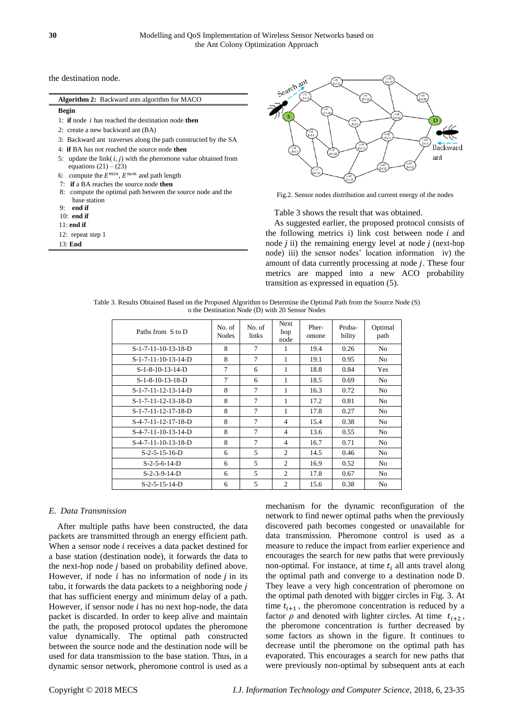the destination node.

| <b>Algorithm 2:</b> Backward ants algorithm for MACO                                              |
|---------------------------------------------------------------------------------------------------|
| <b>Begin</b>                                                                                      |
| 1: <b>if</b> node <i>i</i> has reached the destination node <b>then</b>                           |
| 2: create a new backward ant (BA)                                                                 |
| 3: Backward ant traverses along the path constructed by the SA                                    |
| 4: <b>if BA</b> has not reached the source node <b>then</b>                                       |
| 5: update the link( $i$ , $j$ ) with the pheromone value obtained from<br>equations $(21) - (23)$ |
| 6: compute the $E^{min}$ , $E^{sum}$ and path length                                              |
| 7: if a BA reaches the source node then                                                           |
| 8: compute the optimal path between the source node and the                                       |
| base station                                                                                      |
| end if<br>g.                                                                                      |
| $10:$ end if                                                                                      |
| $11:$ end if                                                                                      |
| 12: repeat step 1                                                                                 |





Fig.2. Sensor nodes distribution and current energy of the nodes

Table 3 shows the result that was obtained.

As suggested earlier, the proposed protocol consists of the following metrics i) link cost between node  $i$  and node  $j$  ii) the remaining energy level at node  $j$  (next-hop node) iii) the sensor nodes' location information iv) the amount of data currently processing at node  $j$ . These four metrics are mapped into a new ACO probability transition as expressed in equation (5).

Table 3. Results Obtained Based on the Proposed Algorithm to Determine the Optimal Path from the Source Node (S) o the Destination Node (D) with 20 Sensor Nodes

| Paths from S to D     | No. of<br><b>Nodes</b> | No. of<br>links | <b>Next</b><br>hop<br>node | Pher-<br>omone | Proba-<br>bility | Optimal<br>path |
|-----------------------|------------------------|-----------------|----------------------------|----------------|------------------|-----------------|
| $S-1-7-11-10-13-18-D$ | 8                      | $\tau$          | 1                          | 19.4           | 0.26             | N <sub>o</sub>  |
| $S-1-7-11-10-13-14-D$ | 8                      | $\overline{7}$  | 1                          | 19.1           | 0.95             | N <sub>o</sub>  |
| $S-1-8-10-13-14-D$    | $\overline{7}$         | 6               | 1                          | 18.8           | 0.84             | <b>Yes</b>      |
| $S-1-8-10-13-18-D$    | $\overline{7}$         | 6               | 1                          | 18.5           | 0.69             | N <sub>o</sub>  |
| S-1-7-11-12-13-14-D   | 8                      | 7               | 1                          | 16.3           | 0.72             | N <sub>o</sub>  |
| S-1-7-11-12-13-18-D   | 8                      | $\overline{7}$  | 1                          | 17.2           | 0.81             | N <sub>o</sub>  |
| S-1-7-11-12-17-18-D   | 8                      | 7               | 1                          | 17.8           | 0.27             | N <sub>o</sub>  |
| S-4-7-11-12-17-18-D   | 8                      | $\tau$          | $\overline{4}$             | 15.4           | 0.38             | No.             |
| $S-4-7-11-10-13-14-D$ | 8                      | $\tau$          | $\overline{4}$             | 13.6           | 0.55             | N <sub>o</sub>  |
| $S-4-7-11-10-13-18-D$ | 8                      | 7               | $\overline{4}$             | 16.7           | 0.71             | N <sub>o</sub>  |
| $S-2-5-15-16-D$       | 6                      | 5               | 2                          | 14.5           | 0.46             | No.             |
| $S-2-5-6-14-D$        | 6                      | 5               | $\overline{2}$             | 16.9           | 0.52             | No.             |
| $S-2-3-9-14-D$        | 6                      | 5               | 2                          | 17.8           | 0.67             | N <sub>0</sub>  |
| $S-2-5-15-14-D$       | 6                      | 5               | $\overline{c}$             | 15.6           | 0.38             | N <sub>0</sub>  |

# *E. Data Transmission*

After multiple paths have been constructed, the data packets are transmitted through an energy efficient path. When a sensor node  $i$  receives a data packet destined for a base station (destination node), it forwards the data to the next-hop node  $j$  based on probability defined above. However, if node  $i$  has no information of node  $j$  in its tabu, it forwards the data packets to a neighboring node  $j$ that has sufficient energy and minimum delay of a path. However, if sensor node  $i$  has no next hop-node, the data packet is discarded. In order to keep alive and maintain the path, the proposed protocol updates the pheromone value dynamically. The optimal path constructed between the source node and the destination node will be used for data transmission to the base station. Thus, in a dynamic sensor network, pheromone control is used as a mechanism for the dynamic reconfiguration of the network to find newer optimal paths when the previously discovered path becomes congested or unavailable for data transmission. Pheromone control is used as a measure to reduce the impact from earlier experience and encourages the search for new paths that were previously non-optimal. For instance, at time  $t_i$  all ants travel along the optimal path and converge to a destination node D. They leave a very high concentration of pheromone on the optimal path denoted with bigger circles in Fig. 3. At time  $t_{i+1}$ , the pheromone concentration is reduced by a factor  $\rho$  and denoted with lighter circles. At time  $t_{i+2}$ , the pheromone concentration is further decreased by some factors as shown in the figure. It continues to decrease until the pheromone on the optimal path has evaporated. This encourages a search for new paths that were previously non-optimal by subsequent ants at each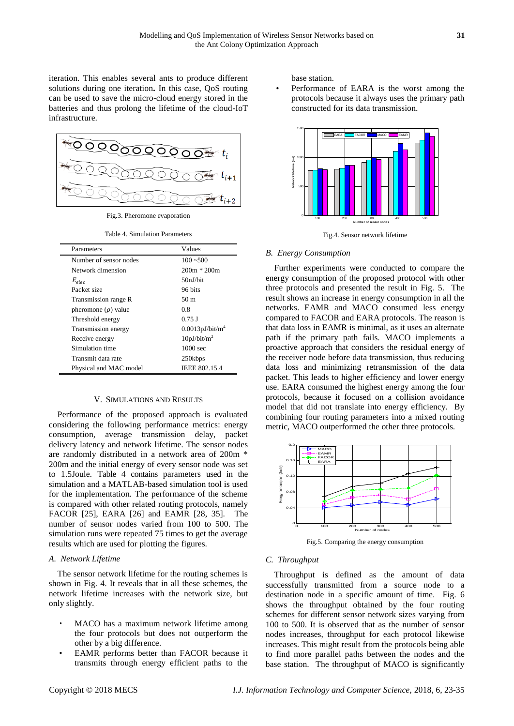iteration. This enables several ants to produce different solutions during one iteration**.** In this case, QoS routing can be used to save the micro-cloud energy stored in the batteries and thus prolong the lifetime of the cloud-IoT infrastructure.



Fig.3. Pheromone evaporation

Table 4. Simulation Parameters

| Parameters               | Values                      |
|--------------------------|-----------------------------|
| Number of sensor nodes   | $100 - 500$                 |
| Network dimension        | $200m * 200m$               |
| $E_{elec}$               | 50nJ/bit                    |
| Packet size              | 96 bits                     |
| Transmission range R     | 50 m                        |
| pheromone $(\rho)$ value | 0.8                         |
| Threshold energy         | $0.75$ J                    |
| Transmission energy      | 0.0013pJ/bit/m <sup>4</sup> |
| Receive energy           | 10pJ/bit/m <sup>2</sup>     |
| Simulation time          | $1000 \text{ sec}$          |
| Transmit data rate       | 250kbps                     |
| Physical and MAC model   | <b>IEEE 802.15.4</b>        |

## V. SIMULATIONS AND RESULTS

Performance of the proposed approach is evaluated considering the following performance metrics: energy consumption, average transmission delay, packet delivery latency and network lifetime. The sensor nodes are randomly distributed in a network area of 200m \* 200m and the initial energy of every sensor node was set to 1.5Joule. Table 4 contains parameters used in the simulation and a MATLAB-based simulation tool is used for the implementation. The performance of the scheme is compared with other related routing protocols, namely FACOR [\[25\]](#page-11-17), EARA [\[26\]](#page-11-18) and EAMR [\[28,](#page-11-20) [35\]](#page-12-5). The number of sensor nodes varied from 100 to 500. The simulation runs were repeated 75 times to get the average results which are used for plotting the figures.

# *A. Network Lifetime*

The sensor network lifetime for the routing schemes is shown in Fig. 4. It reveals that in all these schemes, the network lifetime increases with the network size, but only slightly.

- MACO has a maximum network lifetime among the four protocols but does not outperform the other by a big difference.
- EAMR performs better than FACOR because it transmits through energy efficient paths to the

base station.

• Performance of EARA is the worst among the protocols because it always uses the primary path constructed for its data transmission.



Fig.4. Sensor network lifetime

# *B. Energy Consumption*

Further experiments were conducted to compare the energy consumption of the proposed protocol with other three protocols and presented the result in Fig. 5. The result shows an increase in energy consumption in all the networks. EAMR and MACO consumed less energy compared to FACOR and EARA protocols. The reason is that data loss in EAMR is minimal, as it uses an alternate path if the primary path fails. MACO implements a proactive approach that considers the residual energy of the receiver node before data transmission, thus reducing data loss and minimizing retransmission of the data packet. This leads to higher efficiency and lower energy use. EARA consumed the highest energy among the four protocols, because it focused on a collision avoidance model that did not translate into energy efficiency. By combining four routing parameters into a mixed routing metric, MACO outperformed the other three protocols.



Fig.5. Comparing the energy consumption

# *C. Throughput*

Throughput is defined as the amount of data successfully transmitted from a source node to a destination node in a specific amount of time. Fig. 6 shows the throughput obtained by the four routing schemes for different sensor network sizes varying from 100 to 500. It is observed that as the number of sensor nodes increases, throughput for each protocol likewise increases. This might result from the protocols being able to find more parallel paths between the nodes and the base station. The throughput of MACO is significantly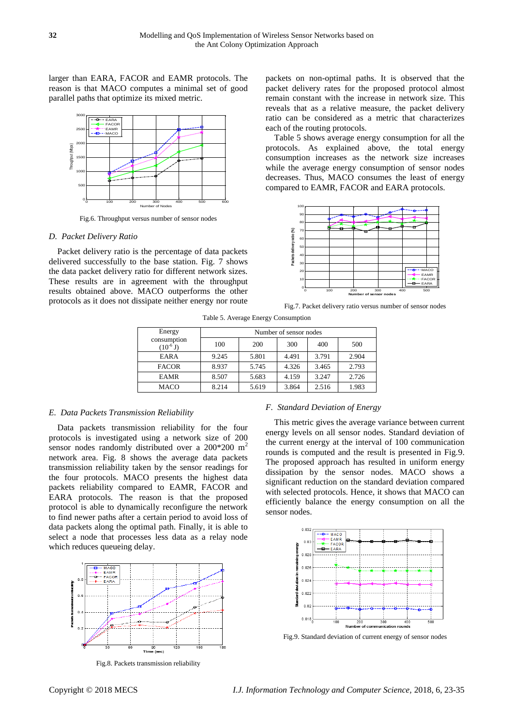larger than EARA, FACOR and EAMR protocols. The reason is that MACO computes a minimal set of good parallel paths that optimize its mixed metric.



Fig.6. Throughput versus number of sensor nodes

#### *D. Packet Delivery Ratio*

Packet delivery ratio is the percentage of data packets delivered successfully to the base station. Fig. 7 shows the data packet delivery ratio for different network sizes. These results are in agreement with the throughput results obtained above. MACO outperforms the other protocols as it does not dissipate neither energy nor route packets on non-optimal paths. It is observed that the packet delivery rates for the proposed protocol almost remain constant with the increase in network size. This reveals that as a relative measure, the packet delivery ratio can be considered as a metric that characterizes each of the routing protocols.

Table 5 shows average energy consumption for all the protocols. As explained above, the total energy consumption increases as the network size increases while the average energy consumption of sensor nodes decreases. Thus, MACO consumes the least of energy compared to EAMR, FACOR and EARA protocols.



Fig.7. Packet delivery ratio versus number of sensor nodes

Table 5. Average Energy Consumption

| Energy                                      | Number of sensor nodes |       |       |       |       |  |
|---------------------------------------------|------------------------|-------|-------|-------|-------|--|
| consumption<br>$(10^{\text{-}6} \text{ J})$ | 100                    | 200   | 300   | 400   | 500   |  |
| <b>EARA</b>                                 | 9.245                  | 5.801 | 4.491 | 3.791 | 2.904 |  |
| <b>FACOR</b>                                | 8.937                  | 5.745 | 4.326 | 3.465 | 2.793 |  |
| <b>EAMR</b>                                 | 8.507                  | 5.683 | 4.159 | 3.247 | 2.726 |  |
| <b>MACO</b>                                 | 8.214                  | 5.619 | 3.864 | 2.516 | 1.983 |  |

# *E. Data Packets Transmission Reliability*

Data packets transmission reliability for the four protocols is investigated using a network size of 200 sensor nodes randomly distributed over a 200\*200 m<sup>2</sup> network area. Fig. 8 shows the average data packets transmission reliability taken by the sensor readings for the four protocols. MACO presents the highest data packets reliability compared to EAMR, FACOR and EARA protocols. The reason is that the proposed protocol is able to dynamically reconfigure the network to find newer paths after a certain period to avoid loss of data packets along the optimal path. Finally, it is able to select a node that processes less data as a relay node which reduces queueing delay.



Fig.8. Packets transmission reliability

#### *F. Standard Deviation of Energy*

This metric gives the average variance between current energy levels on all sensor nodes. Standard deviation of the current energy at the interval of 100 communication rounds is computed and the result is presented in Fig.9. The proposed approach has resulted in uniform energy dissipation by the sensor nodes. MACO shows a significant reduction on the standard deviation compared with selected protocols. Hence, it shows that MACO can efficiently balance the energy consumption on all the sensor nodes.



Fig.9. Standard deviation of current energy of sensor nodes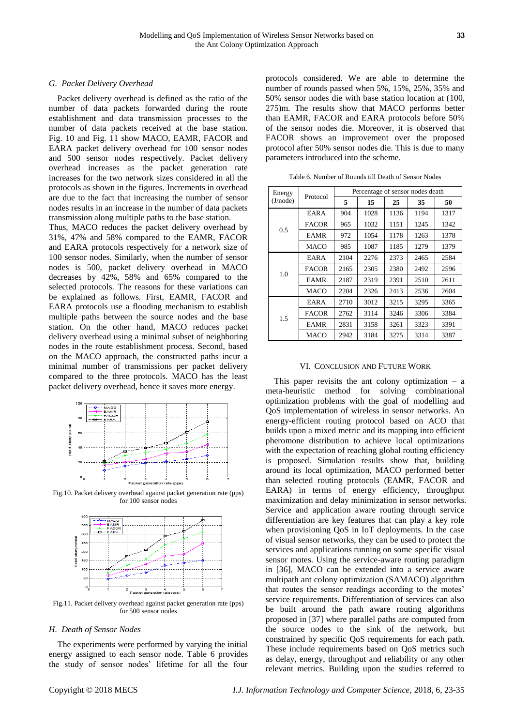## *G. Packet Delivery Overhead*

Packet delivery overhead is defined as the ratio of the number of data packets forwarded during the route establishment and data transmission processes to the number of data packets received at the base station. Fig. 10 and Fig. 11 show MACO, EAMR, FACOR and EARA packet delivery overhead for 100 sensor nodes and 500 sensor nodes respectively. Packet delivery overhead increases as the packet generation rate increases for the two network sizes considered in all the protocols as shown in the figures. Increments in overhead are due to the fact that increasing the number of sensor nodes results in an increase in the number of data packets transmission along multiple paths to the base station.

Thus, MACO reduces the packet delivery overhead by 31%, 47% and 58% compared to the EAMR, FACOR and EARA protocols respectively for a network size of 100 sensor nodes. Similarly, when the number of sensor nodes is 500, packet delivery overhead in MACO decreases by 42%, 58% and 65% compared to the selected protocols. The reasons for these variations can be explained as follows. First, EAMR, FACOR and EARA protocols use a flooding mechanism to establish multiple paths between the source nodes and the base station. On the other hand, MACO reduces packet delivery overhead using a minimal subset of neighboring nodes in the route establishment process. Second, based on the MACO approach, the constructed paths incur a minimal number of transmissions per packet delivery compared to the three protocols. MACO has the least packet delivery overhead, hence it saves more energy.



Fig.10. Packet delivery overhead against packet generation rate (pps) for 100 sensor nodes



Fig.11. Packet delivery overhead against packet generation rate (pps) for 500 sensor nodes

## *H. Death of Sensor Nodes*

The experiments were performed by varying the initial energy assigned to each sensor node. Table 6 provides the study of sensor nodes' lifetime for all the four protocols considered. We are able to determine the number of rounds passed when 5%, 15%, 25%, 35% and 50% sensor nodes die with base station location at (100, 275)m. The results show that MACO performs better than EAMR, FACOR and EARA protocols before 50% of the sensor nodes die. Moreover, it is observed that FACOR shows an improvement over the proposed protocol after 50% sensor nodes die. This is due to many parameters introduced into the scheme.

| Energy   |              | Percentage of sensor nodes death |      |      |      |      |  |
|----------|--------------|----------------------------------|------|------|------|------|--|
| (J/node) | Protocol     | 5                                | 15   | 25   | 35   | 50   |  |
|          | EARA         | 904                              | 1028 | 1136 | 1194 | 1317 |  |
|          | <b>FACOR</b> | 965                              | 1032 | 1151 | 1245 | 1342 |  |
| 0.5      | <b>EAMR</b>  | 972                              | 1054 | 1178 | 1263 | 1378 |  |
|          | MACO         | 985                              | 1087 | 1185 | 1279 | 1379 |  |
|          | <b>EARA</b>  | 2104                             | 2276 | 2373 | 2465 | 2584 |  |
| 1.0      | <b>FACOR</b> | 2165                             | 2305 | 2380 | 2492 | 2596 |  |
|          | <b>EAMR</b>  | 2187                             | 2319 | 2391 | 2510 | 2611 |  |
|          | MACO         | 2204                             | 2326 | 2413 | 2536 | 2604 |  |
|          | EARA         | 2710                             | 3012 | 3215 | 3295 | 3365 |  |
| 1.5      | <b>FACOR</b> | 2762                             | 3114 | 3246 | 3306 | 3384 |  |
|          | <b>EAMR</b>  | 2831                             | 3158 | 3261 | 3323 | 3391 |  |
|          | MACO         | 2942                             | 3184 | 3275 | 3314 | 3387 |  |

Table 6. Number of Rounds till Death of Sensor Nodes

## VI. CONCLUSION AND FUTURE WORK

This paper revisits the ant colony optimization  $-$  a meta-heuristic method for solving combinational optimization problems with the goal of modelling and QoS implementation of wireless in sensor networks. An energy-efficient routing protocol based on ACO that builds upon a mixed metric and its mapping into efficient pheromone distribution to achieve local optimizations with the expectation of reaching global routing efficiency is proposed. Simulation results show that, building around its local optimization, MACO performed better than selected routing protocols (EAMR, FACOR and EARA) in terms of energy efficiency, throughput maximization and delay minimization in sensor networks. Service and application aware routing through service differentiation are key features that can play a key role when provisioning QoS in IoT deployments. In the case of visual sensor networks, they can be used to protect the services and applications running on some specific visual sensor motes. Using the service-aware routing paradigm in [\[36\]](#page-12-6), MACO can be extended into a service aware multipath ant colony optimization (SAMACO) algorithm that routes the sensor readings according to the motes' service requirements. Differentiation of services can also be built around the path aware routing algorithms proposed in [\[37\]](#page-12-7) where parallel paths are computed from the source nodes to the sink of the network, but constrained by specific QoS requirements for each path. These include requirements based on QoS metrics such as delay, energy, throughput and reliability or any other relevant metrics. Building upon the studies referred to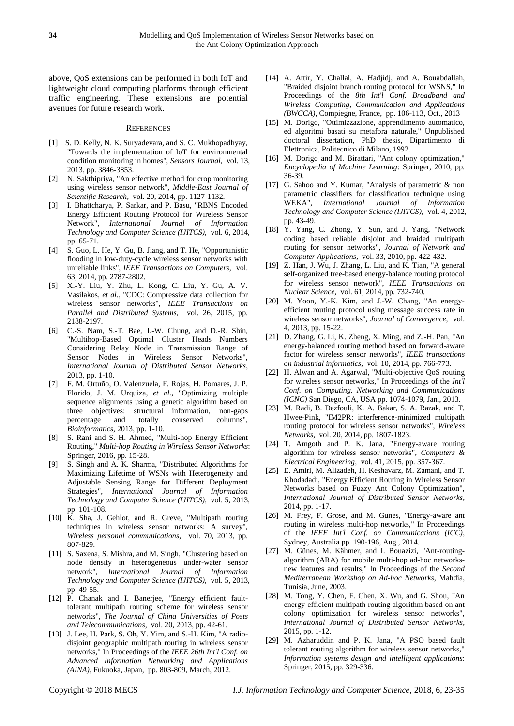above, QoS extensions can be performed in both IoT and lightweight cloud computing platforms through efficient traffic engineering. These extensions are potential avenues for future research work.

#### **REFERENCES**

- <span id="page-11-0"></span>[1] S. D. Kelly, N. K. Suryadevara, and S. C. Mukhopadhyay, "Towards the implementation of IoT for environmental condition monitoring in homes", *Sensors Journal,* vol. 13, 2013, pp. 3846-3853.
- [2] N. Sakthipriya, "An effective method for crop monitoring using wireless sensor network", *Middle-East Journal of Scientific Research,* vol. 20, 2014, pp. 1127-1132.
- [3] I. Bhattcharya, P. Sarkar, and P. Basu, "RBNS Encoded Energy Efficient Routing Protocol for Wireless Sensor Network", *International Journal of Information Technology and Computer Science (IJITCS),* vol. 6, 2014, pp. 65-71.
- <span id="page-11-1"></span>[4] S. Guo, L. He, Y. Gu, B. Jiang, and T. He, "Opportunistic flooding in low-duty-cycle wireless sensor networks with unreliable links", *IEEE Transactions on Computers,* vol. 63, 2014, pp. 2787-2802.
- [5] X.-Y. Liu, Y. Zhu, L. Kong, C. Liu, Y. Gu, A. V. Vasilakos*, et al.*, "CDC: Compressive data collection for wireless sensor networks", *IEEE Transactions on Parallel and Distributed Systems,* vol. 26, 2015, pp. 2188-2197.
- [6] C.-S. Nam, S.-T. Bae, J.-W. Chung, and D.-R. Shin, "Multihop-Based Optimal Cluster Heads Numbers Considering Relay Node in Transmission Range of Sensor Nodes in Wireless Sensor Networks", *International Journal of Distributed Sensor Networks*, 2013, pp. 1-10.
- [7] F. M. Ortuño, O. Valenzuela, F. Rojas, H. Pomares, J. P. Florido, J. M. Urquiza*, et al.*, "Optimizing multiple sequence alignments using a genetic algorithm based on three objectives: structural information, non-gaps percentage and totally conserved columns", *Bioinformatics*, 2013, pp. 1-10.
- <span id="page-11-2"></span>[8] S. Rani and S. H. Ahmed, "Multi-hop Energy Efficient Routing," *Multi-hop Routing in Wireless Sensor Networks*: Springer, 2016, pp. 15-28.
- <span id="page-11-3"></span>[9] S. Singh and A. K. Sharma, "Distributed Algorithms for Maximizing Lifetime of WSNs with Heterogeneity and Adjustable Sensing Range for Different Deployment Strategies", *International Journal of Information Technology and Computer Science (IJITCS),* vol. 5, 2013, pp. 101-108.
- <span id="page-11-4"></span>[10] K. Sha, J. Gehlot, and R. Greve, "Multipath routing techniques in wireless sensor networks: A survey", *Wireless personal communications,* vol. 70, 2013, pp. 807-829.
- <span id="page-11-5"></span>[11] S. Saxena, S. Mishra, and M. Singh, "Clustering based on node density in heterogeneous under-water sensor network", *International Journal of Information Technology and Computer Science (IJITCS),* vol. 5, 2013, pp. 49-55.
- <span id="page-11-6"></span>[12] P. Chanak and I. Banerjee, "Energy efficient faulttolerant multipath routing scheme for wireless sensor networks", *The Journal of China Universities of Posts and Telecommunications,* vol. 20, 2013, pp. 42-61.
- <span id="page-11-7"></span>[13] J. Lee, H. Park, S. Oh, Y. Yim, and S.-H. Kim, "A radiodisjoint geographic multipath routing in wireless sensor networks," In Proceedings of the *IEEE 26th Int'l Conf. on Advanced Information Networking and Applications (AINA)*, Fukuoka, Japan, pp. 803-809, March, 2012.
- <span id="page-11-8"></span>[14] A. Attir, Y. Challal, A. Hadiidi, and A. Bouabdallah, "Braided disjoint branch routing protocol for WSNS," In Proceedings of the *8th Int'l Conf. Broadband and Wireless Computing, Communication and Applications (BWCCA)*, Compiegne, France, pp. 106-113, Oct., 2013
- <span id="page-11-9"></span>[15] M. Dorigo, "Ottimizzazione, apprendimento automatico, ed algoritmi basati su metafora naturale," Unpublished doctoral dissertation, PhD thesis, Dipartimento di Elettronica, Politecnico di Milano, 1992.
- <span id="page-11-10"></span>[16] M. Dorigo and M. Birattari, "Ant colony optimization," *Encyclopedia of Machine Learning*: Springer, 2010, pp. 36-39.
- <span id="page-11-11"></span>[17] G. Sahoo and Y. Kumar, "Analysis of parametric & non parametric classifiers for classification technique using WEKA", *International Journal of Information Technology and Computer Science (IJITCS),* vol. 4, 2012, pp. 43-49.
- <span id="page-11-12"></span>[18] Y. Yang, C. Zhong, Y. Sun, and J. Yang, "Network coding based reliable disjoint and braided multipath routing for sensor networks", *Journal of Network and Computer Applications,* vol. 33, 2010, pp. 422-432.
- <span id="page-11-13"></span>[19] Z. Han, J. Wu, J. Zhang, L. Liu, and K. Tian, "A general self-organized tree-based energy-balance routing protocol for wireless sensor network", *IEEE Transactions on Nuclear Science,* vol. 61, 2014, pp. 732-740.
- [20] M. Yoon, Y.-K. Kim, and J.-W. Chang, "An energyefficient routing protocol using message success rate in wireless sensor networks", *Journal of Convergence,* vol. 4, 2013, pp. 15-22.
- [21] D. Zhang, G. Li, K. Zheng, X. Ming, and Z.-H. Pan, "An energy-balanced routing method based on forward-aware factor for wireless sensor networks", *IEEE transactions on industrial informatics,* vol. 10, 2014, pp. 766-773.
- <span id="page-11-14"></span>[22] H. Alwan and A. Agarwal, "Multi-objective QoS routing for wireless sensor networks," In Proceedings of the *Int'l Conf. on Computing, Networking and Communications (ICNC)* San Diego, CA, USA pp. 1074-1079, Jan., 2013.
- <span id="page-11-15"></span>[23] M. Radi, B. Dezfouli, K. A. Bakar, S. A. Razak, and T. Hwee-Pink, "IM2PR: interference-minimized multipath routing protocol for wireless sensor networks", *Wireless Networks,* vol. 20, 2014, pp. 1807-1823.
- <span id="page-11-16"></span>[24] T. Amgoth and P. K. Jana, "Energy-aware routing algorithm for wireless sensor networks", *Computers & Electrical Engineering,* vol. 41, 2015, pp. 357-367.
- <span id="page-11-17"></span>[25] E. Amiri, M. Alizadeh, H. Keshavarz, M. Zamani, and T. Khodadadi, "Energy Efficient Routing in Wireless Sensor Networks based on Fuzzy Ant Colony Optimization", *International Journal of Distributed Sensor Networks*, 2014, pp. 1-17.
- <span id="page-11-18"></span>[26] M. Frey, F. Grose, and M. Gunes, "Energy-aware ant routing in wireless multi-hop networks," In Proceedings of the *IEEE Int'l Conf. on Communications (ICC)*, Sydney, Australia pp. 190-196, Aug., 2014.
- <span id="page-11-19"></span>[27] M. Günes, M. Kähmer, and I. Bouazizi, "Ant-routingalgorithm (ARA) for mobile multi-hop ad-hoc networksnew features and results," In Proceedings of the *Second Mediterranean Workshop on Ad-hoc Networks*, Mahdia, Tunisia, June, 2003.
- <span id="page-11-20"></span>[28] M. Tong, Y. Chen, F. Chen, X. Wu, and G. Shou, "An energy-efficient multipath routing algorithm based on ant colony optimization for wireless sensor networks", *International Journal of Distributed Sensor Networks*, 2015, pp. 1-12.
- <span id="page-11-21"></span>[29] M. Azharuddin and P. K. Jana, "A PSO based fault tolerant routing algorithm for wireless sensor networks," *Information systems design and intelligent applications*: Springer, 2015, pp. 329-336.